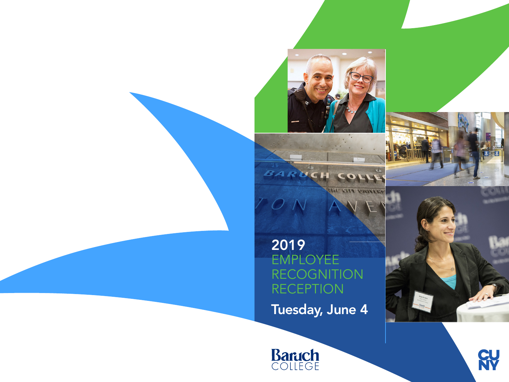

2019 EMPLOYEE RECOGNITION RECEPTION Tuesday, June 4

BARUCH CO





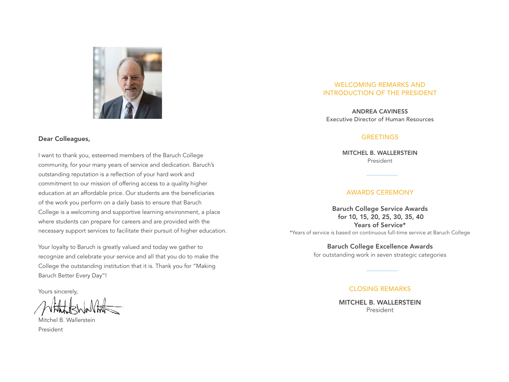

#### Dear Colleagues,

I want to thank you, esteemed members of the Baruch College community, for your many years of service and dedication. Baruch's outstanding reputation is a reflection of your hard work and commitment to our mission of offering access to a quality higher education at an affordable price. Our students are the beneficiaries of the work you perform on a daily basis to ensure that Baruch College is a welcoming and supportive learning environment, a place where students can prepare for careers and are provided with the necessary support services to facilitate their pursuit of higher education.

Your loyalty to Baruch is greatly valued and today we gather to recognize and celebrate your service and all that you do to make the College the outstanding institution that it is. Thank you for "Making Baruch Better Every Day"!

Yours sincerely,

Mitchel B. Wallerstein President

#### WELCOMING REMARKS AND INTRODUCTION OF THE PRESIDENT

ANDREA CAVINESS Executive Director of Human Resources

#### **GREETINGS**

MITCHEL B. WALLERSTEIN President

#### AWARDS CEREMONY

Baruch College Service Awards for 10, 15, 20, 25, 30, 35, 40 Years of Service\* \*Years of service is based on continuous full-time service at Baruch College

> Baruch College Excellence Awards for outstanding work in seven strategic categories

#### CLOSING REMARKS

MITCHEL B. WALLERSTEIN President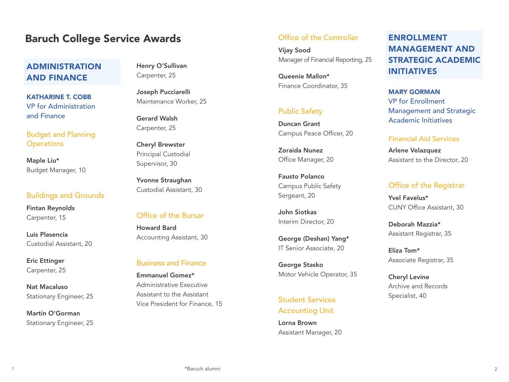# **Baruch College Service Awards Controller** Office of the Controller

# ADMINISTRATION AND FINANCE

KATHARINE T. COBB VP for Administration and Finance

Budget and Planning **Operations** 

Maple Liu\* Budget Manager, 10

#### Buildings and Grounds

Fintan Reynolds Carpenter, 15

Luis Plasencia Custodial Assistant, 20

Eric Ettinger Carpenter, 25

Nat Macaluso Stationary Engineer, 25

Martin O'Gorman Stationary Engineer, 25 Henry O'Sullivan Carpenter, 25

Joseph Pucciarelli Maintenance Worker, 25

Gerard Walsh Carpenter, 25

Cheryl Brewster Principal Custodial Supervisor, 30

Yvonne Straughan Custodial Assistant, 30

#### Office of the Bursar

Howard Bard Accounting Assistant, 30

#### Business and Finance

Emmanuel Gomez\* Administrative Executive Assistant to the Assistant Vice President for Finance, 15

Vijay Sood Manager of Financial Reporting, 25

Queenie Mallon\* Finance Coordinator, 35

## Public Safety

Duncan Grant Campus Peace Officer, 20

Zoraida Nunez Office Manager, 20

Fausto Polanco Campus Public Safety Sergeant, 20

John Siotkas Interim Director, 20

George (Deshan) Yang\* IT Senior Associate, 20

George Stasko Motor Vehicle Operator, 35

Student Services Accounting Unit

Lorna Brown Assistant Manager, 20

# ENROLLMENT MANAGEMENT AND STRATEGIC ACADEMIC INITIATIVES

MARY GORMAN VP for Enrollment Management and Strategic Academic Initiatives

#### Financial Aid Services

Arlene Velazquez Assistant to the Director, 20

#### Office of the Registrar

Yvel Favelus\* CUNY Office Assistant, 30

Deborah Mazzia\* Assistant Registrar, 35

Eliza Tom\* Associate Registrar, 35

Cheryl Levine Archive and Records Specialist, 40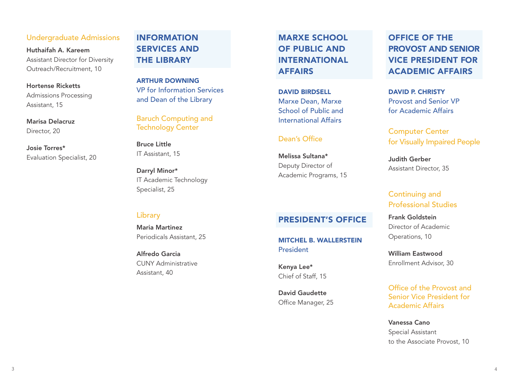#### Undergraduate Admissions

Huthaifah A. Kareem Assistant Director for Diversity Outreach/Recruitment, 10

Hortense Ricketts Admissions Processing Assistant, 15

Marisa Delacruz Director, 20

Josie Torres\* Evaluation Specialist, 20

# INFORMATION SERVICES AND THE LIBRARY

ARTHUR DOWNING VP for Information Services and Dean of the Library

Baruch Computing and Technology Center

Bruce Little IT Assistant, 15

Darryl Minor\* IT Academic Technology Specialist, 25

# MARXE SCHOOL OF PUBLIC AND INTERNATIONAL AFFAIRS

DAVID BIRDSELL Marxe Dean, Marxe School of Public and International Affairs

#### Dean's Office

President

Kenya Lee\*

Chief of Staff, 15

David Gaudette Office Manager, 25

Melissa Sultana\* Deputy Director of Academic Programs, 15

PRESIDENT'S OFFICE

MITCHEL B. WALLERSTEIN

# OFFICE OF THE PROVOST AND SENIOR VICE PRESIDENT FOR ACADEMIC AFFAIRS

DAVID P. CHRISTY Provost and Senior VP for Academic Affairs

Computer Center for Visually Impaired People

Judith Gerber Assistant Director, 35

# Continuing and Professional Studies

Frank Goldstein Director of Academic Operations, 10

William Eastwood Enrollment Advisor, 30

Office of the Provost and Senior Vice President for Academic Affairs

Vanessa Cano Special Assistant to the Associate Provost, 10

#### Library

Maria Martinez Periodicals Assistant, 25

Alfredo Garcia CUNY Administrative Assistant, 40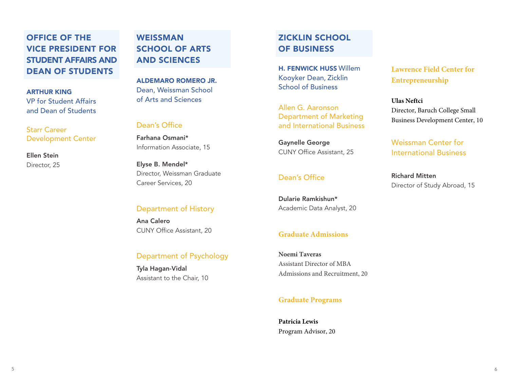# OFFICE OF THE VICE PRESIDENT FOR STUDENT AFFAIRS AND DEAN OF STUDENTS

#### ARTHUR KING VP for Student Affairs and Dean of Students

Starr Career Development Center

Ellen Stein Director, 25

# **WEISSMAN** SCHOOL OF ARTS AND SCIENCES

ALDEMARO ROMERO JR. Dean, Weissman School of Arts and Sciences

#### Dean's Office

Farhana Osmani\* Information Associate, 15

Elyse B. Mendel\* Director, Weissman Graduate Career Services, 20

## Department of History

Ana Calero CUNY Office Assistant, 20

## Department of Psychology

Tyla Hagan-Vidal Assistant to the Chair, 10

# ZICKLIN SCHOOL OF BUSINESS

H. FENWICK HUSS Willem Kooyker Dean, Zicklin School of Business

Allen G. Aaronson Department of Marketing and International Business

Gaynelle George CUNY Office Assistant, 25

## Dean's Office

Dularie Ramkishun\* Academic Data Analyst, 20

#### **Graduate Admissions**

**Noemi Taveras** Assistant Director of MBA Admissions and Recruitment, 20

## **Graduate Programs**

**Patricia Lewis** Program Advisor, 20 **Lawrence Field Center for Entrepreneurship** 

**Ulas Neftci** Director, Baruch College Small Business Development Center, 10

Weissman Center for International Business

Richard Mitten Director of Study Abroad, 15